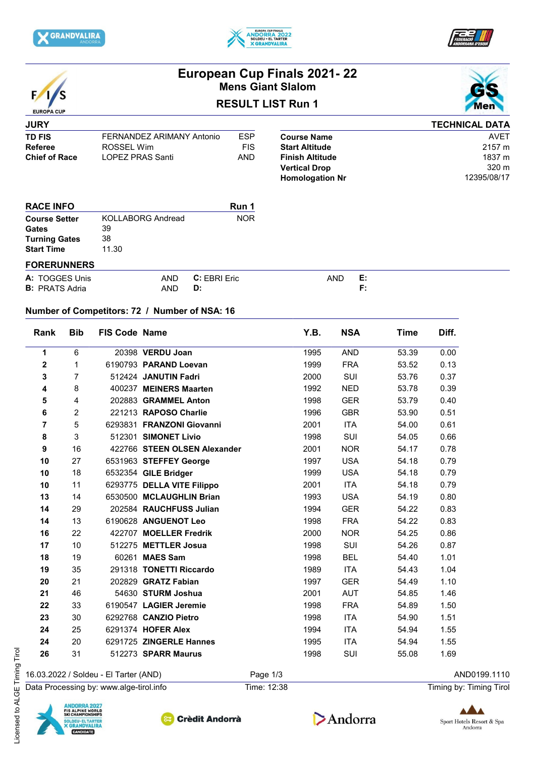







# **European Cup Finals 2021- 22 Mens Giant Slalom**

# **RESULT LIST Run 1**



## **JURY TD FIS** FERNANDEZ ARIMANY Antonio ESP<br>Referee ROSSEL Wim FIS **Referee** ROSSEL Wim **ROSSEL Winder RIS**<br>
Chief of Race LOPEZ PRAS Santi AND **LOPEZ PRAS Santi**

|                        | <b>TECHNICAL DATA</b> |
|------------------------|-----------------------|
| <b>Course Name</b>     | AVFT                  |
| <b>Start Altitude</b>  | 2157 m                |
| <b>Finish Altitude</b> | 1837 m                |
| <b>Vertical Drop</b>   | $320 \text{ m}$       |
| <b>Homologation Nr</b> | 12395/08/17           |

| <b>RACE INFO</b>     |                          | Run 1      |
|----------------------|--------------------------|------------|
| <b>Course Setter</b> | <b>KOLLABORG Andread</b> | <b>NOR</b> |
| Gates                | 39                       |            |
| <b>Turning Gates</b> | 38                       |            |
| <b>Start Time</b>    | 11.30                    |            |
|                      |                          |            |

## **FORERUNNERS**

| A: TOGGES Unis        | <b>AND</b> | C: EBRI Eric | AND | . с.<br><b>Property</b> |
|-----------------------|------------|--------------|-----|-------------------------|
| <b>B:</b> PRATS Adria | AND        | D:           |     |                         |

## **Number of Competitors: 72 / Number of NSA: 16**

| Rank             | <b>Bib</b>              | FIS Code Name |                              | Y.B. | <b>NSA</b> | <b>Time</b> | Diff. |
|------------------|-------------------------|---------------|------------------------------|------|------------|-------------|-------|
| 1                | 6                       |               | 20398 VERDU Joan             | 1995 | <b>AND</b> | 53.39       | 0.00  |
| $\boldsymbol{2}$ | 1                       |               | 6190793 PARAND Loevan        | 1999 | <b>FRA</b> | 53.52       | 0.13  |
| 3                | $\overline{7}$          |               | 512424 JANUTIN Fadri         | 2000 | SUI        | 53.76       | 0.37  |
| 4                | 8                       |               | 400237 MEINERS Maarten       | 1992 | <b>NED</b> | 53.78       | 0.39  |
| 5                | $\overline{\mathbf{4}}$ |               | 202883 GRAMMEL Anton         | 1998 | <b>GER</b> | 53.79       | 0.40  |
| 6                | $\overline{2}$          |               | 221213 RAPOSO Charlie        | 1996 | <b>GBR</b> | 53.90       | 0.51  |
| $\overline{7}$   | 5                       |               | 6293831 FRANZONI Giovanni    | 2001 | <b>ITA</b> | 54.00       | 0.61  |
| 8                | 3                       |               | 512301 SIMONET Livio         | 1998 | SUI        | 54.05       | 0.66  |
| 9                | 16                      |               | 422766 STEEN OLSEN Alexander | 2001 | <b>NOR</b> | 54.17       | 0.78  |
| 10               | 27                      |               | 6531963 STEFFEY George       | 1997 | <b>USA</b> | 54.18       | 0.79  |
| 10               | 18                      |               | 6532354 GILE Bridger         | 1999 | <b>USA</b> | 54.18       | 0.79  |
| 10               | 11                      |               | 6293775 DELLA VITE Filippo   | 2001 | <b>ITA</b> | 54.18       | 0.79  |
| 13               | 14                      |               | 6530500 MCLAUGHLIN Brian     | 1993 | <b>USA</b> | 54.19       | 0.80  |
| 14               | 29                      |               | 202584 RAUCHFUSS Julian      | 1994 | <b>GER</b> | 54.22       | 0.83  |
| 14               | 13                      |               | 6190628 ANGUENOT Leo         | 1998 | <b>FRA</b> | 54.22       | 0.83  |
| 16               | 22                      |               | 422707 MOELLER Fredrik       | 2000 | <b>NOR</b> | 54.25       | 0.86  |
| 17               | 10                      |               | 512275 METTLER Josua         | 1998 | SUI        | 54.26       | 0.87  |
| 18               | 19                      |               | 60261 MAES Sam               | 1998 | <b>BEL</b> | 54.40       | 1.01  |
| 19               | 35                      |               | 291318 TONETTI Riccardo      | 1989 | ITA        | 54.43       | 1.04  |
| 20               | 21                      |               | 202829 GRATZ Fabian          | 1997 | <b>GER</b> | 54.49       | 1.10  |
| 21               | 46                      |               | 54630 STURM Joshua           | 2001 | <b>AUT</b> | 54.85       | 1.46  |
| 22               | 33                      |               | 6190547 LAGIER Jeremie       | 1998 | <b>FRA</b> | 54.89       | 1.50  |
| 23               | 30                      |               | 6292768 CANZIO Pietro        | 1998 | <b>ITA</b> | 54.90       | 1.51  |
| 24               | 25                      |               | 6291374 HOFER Alex           | 1994 | <b>ITA</b> | 54.94       | 1.55  |
| 24               | 20                      |               | 6291725 ZINGERLE Hannes      | 1995 | <b>ITA</b> | 54.94       | 1.55  |
| 26               | 31                      |               | 512273 SPARR Maurus          | 1998 | SUI        | 55.08       | 1.69  |

16.03.2022 / Soldeu - El Tarter (AND) Page 1/3 Page 1/3 Data Processing by: www.alge-tirol.info Time: 12:38 Time: 12:38 Timing by: Timing by: Timing Tirol







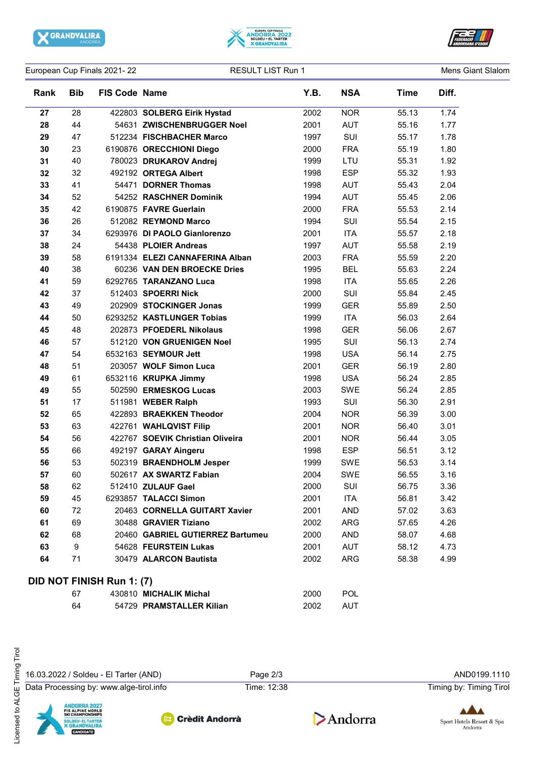

 $\sim$ 





European Cup Finals 2021-22 **RESULT LIST Run 1** Curopean Cup Finals 2021-22

| <b>Rank</b> | <b>Bib</b> | <b>FIS Code Name</b>             |                                  | Y.B. | <b>NSA</b> | <b>Time</b> | Diff. |
|-------------|------------|----------------------------------|----------------------------------|------|------------|-------------|-------|
| 27          | 28         |                                  | 422803 SOLBERG Eirik Hystad      | 2002 | <b>NOR</b> | 55.13       | 1.74  |
| 28          | 44         |                                  | 54631 ZWISCHENBRUGGER Noel       | 2001 | <b>AUT</b> | 55.16       | 1.77  |
| 29          | 47         |                                  | 512234 FISCHBACHER Marco         | 1997 | SUI        | 55.17       | 1.78  |
| 30          | 23         |                                  | 6190876 ORECCHIONI Diego         | 2000 | <b>FRA</b> | 55.19       | 1.80  |
| 31          | 40         |                                  | 780023 DRUKAROV Andrej           | 1999 | LTU        | 55.31       | 1.92  |
| 32          | 32         |                                  | 492192 ORTEGA Albert             | 1998 | <b>ESP</b> | 55.32       | 1.93  |
| 33          | 41         |                                  | 54471 DORNER Thomas              | 1998 | <b>AUT</b> | 55.43       | 2.04  |
| 34          | 52         |                                  | 54252 RASCHNER Dominik           | 1994 | <b>AUT</b> | 55.45       | 2.06  |
| 35          | 42         |                                  | 6190875 FAVRE Guerlain           | 2000 | <b>FRA</b> | 55.53       | 2.14  |
| 36          | 26         |                                  | 512082 REYMOND Marco             | 1994 | SUI        | 55.54       | 2.15  |
| 37          | 34         |                                  | 6293976 DI PAOLO Gianlorenzo     | 2001 | <b>ITA</b> | 55.57       | 2.18  |
| 38          | 24         |                                  | 54438 PLOIER Andreas             | 1997 | <b>AUT</b> | 55.58       | 2.19  |
| 39          | 58         |                                  | 6191334 ELEZI CANNAFERINA Alban  | 2003 | <b>FRA</b> | 55.59       | 2.20  |
| 40          | 38         |                                  | 60236 VAN DEN BROECKE Dries      | 1995 | <b>BEL</b> | 55.63       | 2.24  |
| 41          | 59         |                                  | 6292765 TARANZANO Luca           | 1998 | <b>ITA</b> | 55.65       | 2.26  |
| 42          | 37         |                                  | 512403 SPOERRI Nick              | 2000 | SUI        | 55.84       | 2.45  |
| 43          | 49         |                                  | 202909 STOCKINGER Jonas          | 1999 | <b>GER</b> | 55.89       | 2.50  |
| 44          | 50         |                                  | 6293252 KASTLUNGER Tobias        | 1999 | <b>ITA</b> | 56.03       | 2.64  |
| 45          | 48         |                                  | 202873 PFOEDERL Nikolaus         | 1998 | <b>GER</b> | 56.06       | 2.67  |
| 46          | 57         |                                  | 512120 VON GRUENIGEN Noel        | 1995 | SUI        | 56.13       | 2.74  |
| 47          | 54         |                                  | 6532163 SEYMOUR Jett             | 1998 | <b>USA</b> | 56.14       | 2.75  |
| 48          | 51         |                                  | 203057 WOLF Simon Luca           | 2001 | <b>GER</b> | 56.19       | 2.80  |
| 49          | 61         |                                  | 6532116 KRUPKA Jimmy             | 1998 | <b>USA</b> | 56.24       | 2.85  |
| 49          | 55         |                                  | 502590 ERMESKOG Lucas            | 2003 | <b>SWE</b> | 56.24       | 2.85  |
| 51          | 17         |                                  | 511981 WEBER Ralph               | 1993 | SUI        | 56.30       | 2.91  |
| 52          | 65         |                                  | 422893 BRAEKKEN Theodor          | 2004 | <b>NOR</b> | 56.39       | 3.00  |
| 53          | 63         |                                  | 422761 WAHLQVIST Filip           | 2001 | <b>NOR</b> | 56.40       | 3.01  |
| 54          | 56         |                                  | 422767 SOEVIK Christian Oliveira | 2001 | <b>NOR</b> | 56.44       | 3.05  |
| 55          | 66         |                                  | 492197 GARAY Aingeru             | 1998 | <b>ESP</b> | 56.51       | 3.12  |
| 56          | 53         |                                  | 502319 BRAENDHOLM Jesper         | 1999 | <b>SWE</b> | 56.53       | 3.14  |
| 57          | 60         |                                  | 502617 AX SWARTZ Fabian          | 2004 | <b>SWE</b> | 56.55       | 3.16  |
| 58          | 62         |                                  | 512410 ZULAUF Gael               | 2000 | SUI        | 56.75       | 3.36  |
| 59          | 45         |                                  | 6293857 TALACCI Simon            | 2001 | ITA        | 56.81       | 3.42  |
| 60          | 72         |                                  | 20463 CORNELLA GUITART Xavier    | 2001 | <b>AND</b> | 57.02       | 3.63  |
| 61          | 69         |                                  | 30488 GRAVIER Tiziano            | 2002 | <b>ARG</b> | 57.65       | 4.26  |
| 62          | 68         |                                  | 20460 GABRIEL GUTIERREZ Bartumeu | 2000 | <b>AND</b> | 58.07       | 4.68  |
| 63          | 9          |                                  | 54628 FEURSTEIN Lukas            | 2001 | <b>AUT</b> | 58.12       | 4.73  |
| 64          | 71         |                                  | 30479 ALARCON Bautista           | 2002 | ARG        | 58.38       | 4.99  |
|             |            | <b>DID NOT FINISH Run 1: (7)</b> |                                  |      |            |             |       |
|             | 67         |                                  | 430810 MICHALIK Michal           | 2000 | <b>POL</b> |             |       |

16.03.2022 / Soldeu - El Tarter (AND) Page 2/3 AND0199.1110

Data Processing by: www.alge-tirol.info Time: 12:38 Time: 12:38 Timing by: Timing by: Timing Tirol





64 54729 **PRAMSTALLER Kilian** 2002 AUT